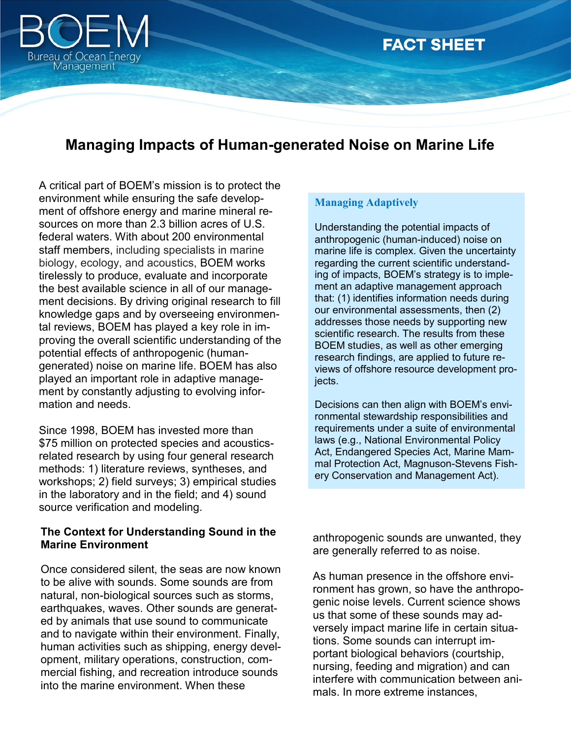

# **FACT SHEET**

## **Managing Impacts of Human-generated Noise on Marine Life**

A critical part of BOEM's mission is to protect the environment while ensuring the safe development of offshore energy and marine mineral resources on more than 2.3 billion acres of U.S. federal waters. With about 200 environmental staff members, including specialists in marine biology, ecology, and acoustics, BOEM works tirelessly to produce, evaluate and incorporate the best available science in all of our management decisions. By driving original research to fill knowledge gaps and by overseeing environmental reviews, BOEM has played a key role in improving the overall scientific understanding of the potential effects of anthropogenic (humangenerated) noise on marine life. BOEM has also played an important role in adaptive management by constantly adjusting to evolving information and needs.

Since 1998, BOEM has invested more than \$75 million on protected species and acousticsrelated research by using four general research methods: 1) literature reviews, syntheses, and workshops; 2) field surveys; 3) empirical studies in the laboratory and in the field; and 4) sound source verification and modeling.

#### **The Context for Understanding Sound in the Marine Environment**

Once considered silent, the seas are now known to be alive with sounds. Some sounds are from natural, non-biological sources such as storms, earthquakes, waves. Other sounds are generated by animals that use sound to communicate and to navigate within their environment. Finally, human activities such as shipping, energy development, military operations, construction, commercial fishing, and recreation introduce sounds into the marine environment. When these

#### **Managing Adaptively**

Understanding the potential impacts of anthropogenic (human-induced) noise on marine life is complex. Given the uncertainty regarding the current scientific understanding of impacts, BOEM's strategy is to implement an adaptive management approach that: (1) identifies information needs during our environmental assessments, then (2) addresses those needs by supporting new scientific research. The results from these BOEM studies, as well as other emerging research findings, are applied to future reviews of offshore resource development projects.

Decisions can then align with BOEM's environmental stewardship responsibilities and requirements under a suite of environmental laws (e.g., National Environmental Policy Act, Endangered Species Act, Marine Mammal Protection Act, Magnuson-Stevens Fishery Conservation and Management Act).

anthropogenic sounds are unwanted, they are generally referred to as noise.

As human presence in the offshore environment has grown, so have the anthropogenic noise levels. Current science shows us that some of these sounds may adversely impact marine life in certain situations. Some sounds can interrupt important biological behaviors (courtship, nursing, feeding and migration) and can interfere with communication between animals. In more extreme instances,